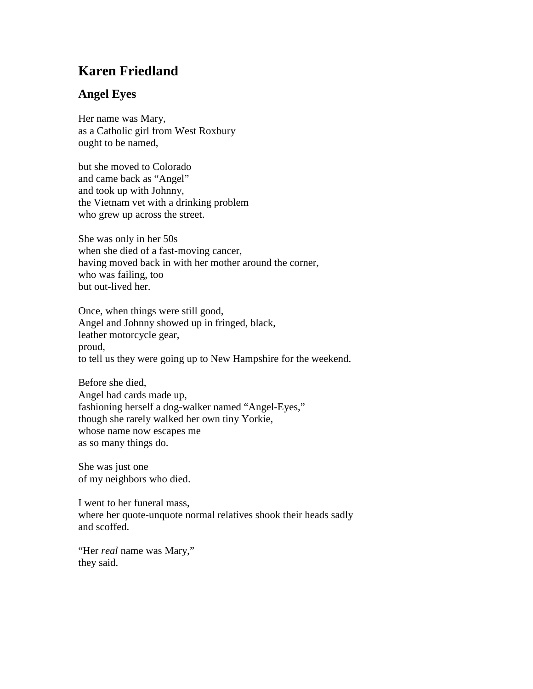## **Karen Friedland**

## **Angel Eyes**

Her name was Mary, as a Catholic girl from West Roxbury ought to be named,

but she moved to Colorado and came back as "Angel" and took up with Johnny, the Vietnam vet with a drinking problem who grew up across the street.

She was only in her 50s when she died of a fast-moving cancer, having moved back in with her mother around the corner, who was failing, too but out-lived her.

Once, when things were still good, Angel and Johnny showed up in fringed, black, leather motorcycle gear, proud, to tell us they were going up to New Hampshire for the weekend.

Before she died, Angel had cards made up, fashioning herself a dog-walker named "Angel-Eyes," though she rarely walked her own tiny Yorkie, whose name now escapes me as so many things do.

She was just one of my neighbors who died.

I went to her funeral mass, where her quote-unquote normal relatives shook their heads sadly and scoffed.

"Her *real* name was Mary," they said.